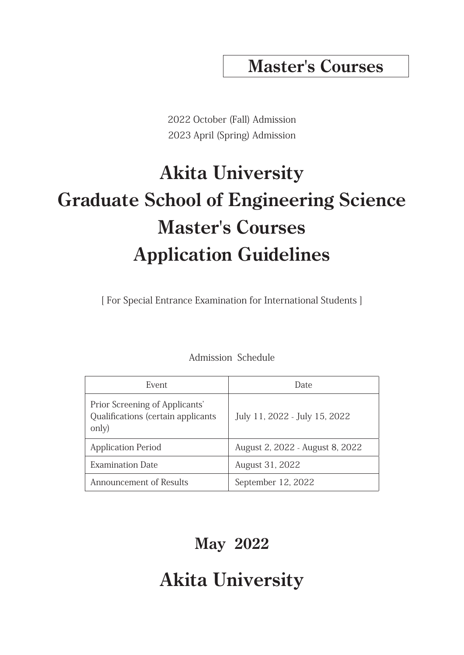## **Master's Courses**

2022 October (Fall) Admission 2023 April (Spring) Admission

# **Akita University Graduate School of Engineering Science Master's Courses Application Guidelines**

[ For Special Entrance Examination for International Students ]

| Event                                                                         | Date                            |
|-------------------------------------------------------------------------------|---------------------------------|
| Prior Screening of Applicants'<br>Qualifications (certain applicants<br>only) | July 11, 2022 - July 15, 2022   |
| <b>Application Period</b>                                                     | August 2, 2022 - August 8, 2022 |
| <b>Examination Date</b>                                                       | August 31, 2022                 |
| Announcement of Results                                                       | September 12, 2022              |

Admission Schedule

## **May 2022**

## **Akita University**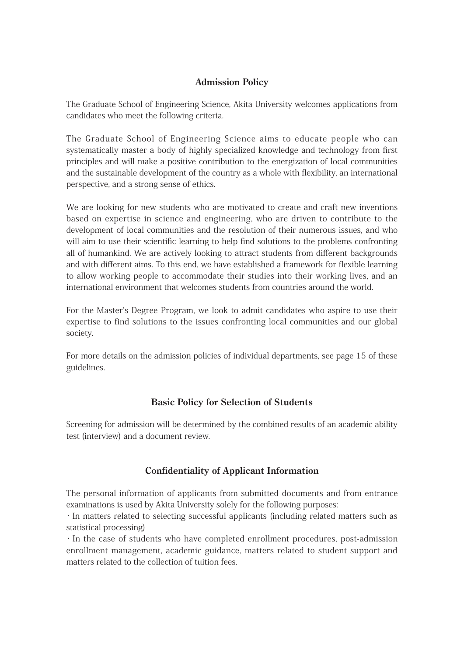## **Admission Policy**

The Graduate School of Engineering Science, Akita University welcomes applications from candidates who meet the following criteria.

The Graduate School of Engineering Science aims to educate people who can systematically master a body of highly specialized knowledge and technology from first principles and will make a positive contribution to the energization of local communities and the sustainable development of the country as a whole with flexibility, an international perspective, and a strong sense of ethics.

We are looking for new students who are motivated to create and craft new inventions based on expertise in science and engineering, who are driven to contribute to the development of local communities and the resolution of their numerous issues, and who will aim to use their scientific learning to help find solutions to the problems confronting all of humankind. We are actively looking to attract students from different backgrounds and with different aims. To this end, we have established a framework for flexible learning to allow working people to accommodate their studies into their working lives, and an international environment that welcomes students from countries around the world.

For the Master's Degree Program, we look to admit candidates who aspire to use their expertise to find solutions to the issues confronting local communities and our global society.

For more details on the admission policies of individual departments, see page 15 of these guidelines.

### **Basic Policy for Selection of Students**

Screening for admission will be determined by the combined results of an academic ability test (interview) and a document review.

## **Confidentiality of Applicant Information**

The personal information of applicants from submitted documents and from entrance examinations is used by Akita University solely for the following purposes:

・In matters related to selecting successful applicants (including related matters such as statistical processing)

・In the case of students who have completed enrollment procedures, post-admission enrollment management, academic guidance, matters related to student support and matters related to the collection of tuition fees.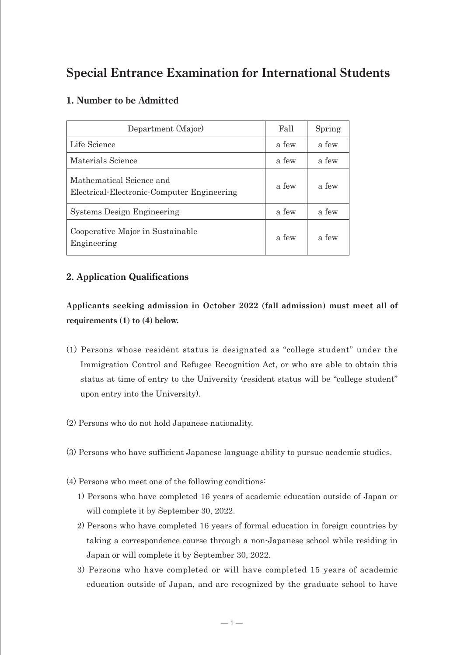## **Special Entrance Examination for International Students**

## **1. Number to be Admitted**

| Department (Major)                                                     | Fall  | Spring |
|------------------------------------------------------------------------|-------|--------|
| Life Science                                                           | a few | a few  |
| Materials Science                                                      | a few | a few  |
| Mathematical Science and<br>Electrical-Electronic-Computer Engineering | a few | a few  |
| <b>Systems Design Engineering</b>                                      | a few | a few  |
| Cooperative Major in Sustainable<br>Engineering                        | a few | a few  |

## **2. Application Qualifications**

**Applicants seeking admission in October 2022 (fall admission) must meet all of requirements (1) to (4) below.**

- (1) Persons whose resident status is designated as "college student" under the Immigration Control and Refugee Recognition Act, or who are able to obtain this status at time of entry to the University (resident status will be "college student" upon entry into the University).
- (2) Persons who do not hold Japanese nationality.
- (3) Persons who have sufficient Japanese language ability to pursue academic studies.
- (4) Persons who meet one of the following conditions:
	- 1) Persons who have completed 16 years of academic education outside of Japan or will complete it by September 30, 2022.
	- 2) Persons who have completed 16 years of formal education in foreign countries by taking a correspondence course through a non-Japanese school while residing in Japan or will complete it by September 30, 2022.
	- 3) Persons who have completed or will have completed 15 years of academic education outside of Japan, and are recognized by the graduate school to have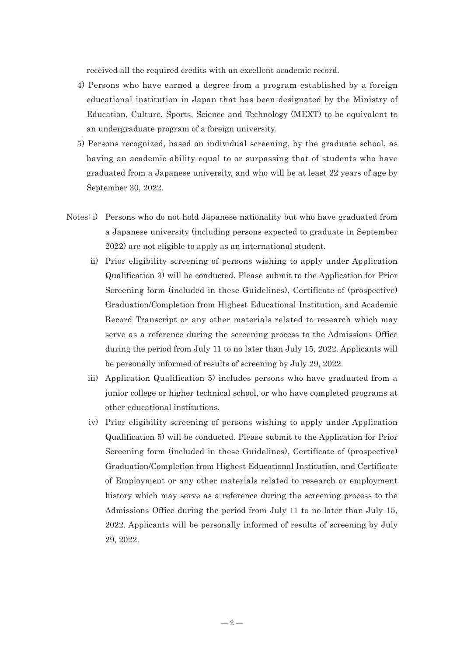received all the required credits with an excellent academic record.

- 4) Persons who have earned a degree from a program established by a foreign educational institution in Japan that has been designated by the Ministry of Education, Culture, Sports, Science and Technology (MEXT) to be equivalent to an undergraduate program of a foreign university.
- 5) Persons recognized, based on individual screening, by the graduate school, as having an academic ability equal to or surpassing that of students who have graduated from a Japanese university, and who will be at least 22 years of age by September 30, 2022.
- Notes: i) Persons who do not hold Japanese nationality but who have graduated from a Japanese university (including persons expected to graduate in September 2022) are not eligible to apply as an international student.
	- ii) Prior eligibility screening of persons wishing to apply under Application Qualification 3) will be conducted. Please submit to the Application for Prior Screening form (included in these Guidelines), Certificate of (prospective) Graduation/Completion from Highest Educational Institution, and Academic Record Transcript or any other materials related to research which may serve as a reference during the screening process to the Admissions Office during the period from July 11 to no later than July 15, 2022. Applicants will be personally informed of results of screening by July 29, 2022.
	- iii) Application Qualification 5) includes persons who have graduated from a junior college or higher technical school, or who have completed programs at other educational institutions.
	- iv) Prior eligibility screening of persons wishing to apply under Application Qualification 5) will be conducted. Please submit to the Application for Prior Screening form (included in these Guidelines), Certificate of (prospective) Graduation/Completion from Highest Educational Institution, and Certificate of Employment or any other materials related to research or employment history which may serve as a reference during the screening process to the Admissions Office during the period from July 11 to no later than July 15, 2022. Applicants will be personally informed of results of screening by July 29, 2022.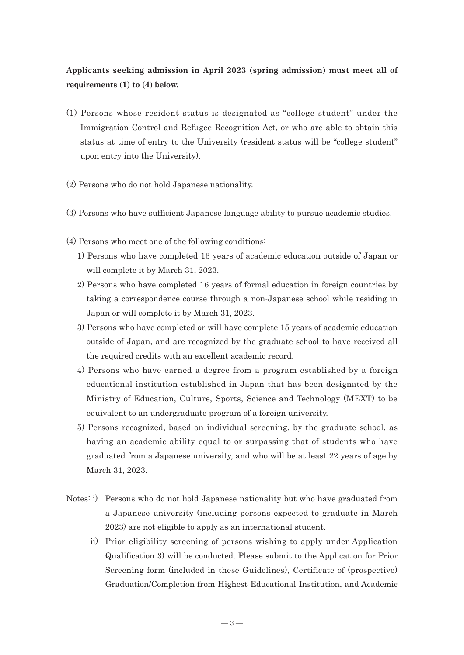## **Applicants seeking admission in April 2023 (spring admission) must meet all of requirements (1) to (4) below.**

- (1) Persons whose resident status is designated as "college student" under the Immigration Control and Refugee Recognition Act, or who are able to obtain this status at time of entry to the University (resident status will be "college student" upon entry into the University).
- (2) Persons who do not hold Japanese nationality.
- (3) Persons who have sufficient Japanese language ability to pursue academic studies.
- (4) Persons who meet one of the following conditions:
	- 1) Persons who have completed 16 years of academic education outside of Japan or will complete it by March 31, 2023.
	- 2) Persons who have completed 16 years of formal education in foreign countries by taking a correspondence course through a non-Japanese school while residing in Japan or will complete it by March 31, 2023.
	- 3) Persons who have completed or will have complete 15 years of academic education outside of Japan, and are recognized by the graduate school to have received all the required credits with an excellent academic record.
	- 4) Persons who have earned a degree from a program established by a foreign educational institution established in Japan that has been designated by the Ministry of Education, Culture, Sports, Science and Technology (MEXT) to be equivalent to an undergraduate program of a foreign university.
	- 5) Persons recognized, based on individual screening, by the graduate school, as having an academic ability equal to or surpassing that of students who have graduated from a Japanese university, and who will be at least 22 years of age by March 31, 2023.
- Notes: i) Persons who do not hold Japanese nationality but who have graduated from a Japanese university (including persons expected to graduate in March 2023) are not eligible to apply as an international student.
	- ii) Prior eligibility screening of persons wishing to apply under Application Qualification 3) will be conducted. Please submit to the Application for Prior Screening form (included in these Guidelines), Certificate of (prospective) Graduation/Completion from Highest Educational Institution, and Academic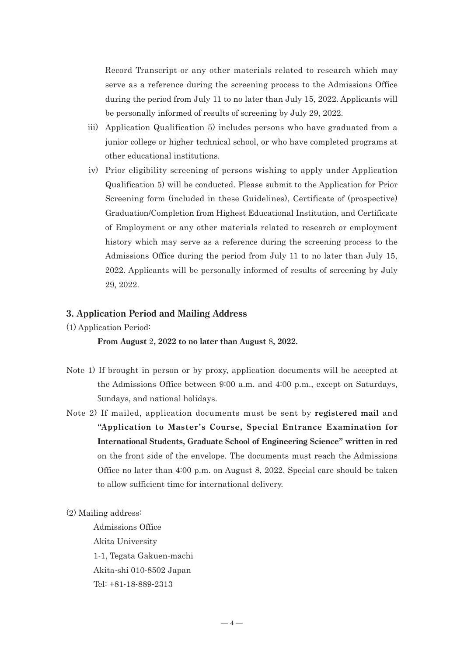Record Transcript or any other materials related to research which may serve as a reference during the screening process to the Admissions Office during the period from July 11 to no later than July 15, 2022. Applicants will be personally informed of results of screening by July 29, 2022.

- iii) Application Qualification 5) includes persons who have graduated from a junior college or higher technical school, or who have completed programs at other educational institutions.
- iv) Prior eligibility screening of persons wishing to apply under Application Qualification 5) will be conducted. Please submit to the Application for Prior Screening form (included in these Guidelines), Certificate of (prospective) Graduation/Completion from Highest Educational Institution, and Certificate of Employment or any other materials related to research or employment history which may serve as a reference during the screening process to the Admissions Office during the period from July 11 to no later than July 15, 2022. Applicants will be personally informed of results of screening by July 29, 2022.

#### **3. Application Period and Mailing Address**

(1) Application Period:

**From August** 2**, 2022 to no later than August** 8**, 2022.**

- Note 1) If brought in person or by proxy, application documents will be accepted at the Admissions Office between 9:00 a.m. and 4:00 p.m., except on Saturdays, Sundays, and national holidays.
- Note 2) If mailed, application documents must be sent by **registered mail** and **"Application to Master's Course, Special Entrance Examination for International Students, Graduate School of Engineering Science" written in red** on the front side of the envelope. The documents must reach the Admissions Office no later than 4:00 p.m. on August 8, 2022. Special care should be taken to allow sufficient time for international delivery.
- (2) Mailing address:

Admissions Office Akita University 1-1, Tegata Gakuen-machi Akita-shi 010-8502 Japan Tel: +81-18-889-2313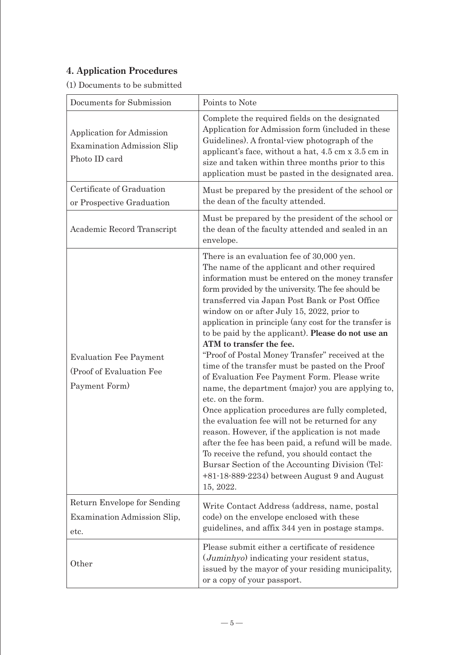## **4. Application Procedures**

(1) Documents to be submitted

| Documents for Submission                                                        | Points to Note                                                                                                                                                                                                                                                                                                                                                                                                                                                                                                                                                                                                                                                                                                                                                                                                                                                                                                                                                                                                                                                               |
|---------------------------------------------------------------------------------|------------------------------------------------------------------------------------------------------------------------------------------------------------------------------------------------------------------------------------------------------------------------------------------------------------------------------------------------------------------------------------------------------------------------------------------------------------------------------------------------------------------------------------------------------------------------------------------------------------------------------------------------------------------------------------------------------------------------------------------------------------------------------------------------------------------------------------------------------------------------------------------------------------------------------------------------------------------------------------------------------------------------------------------------------------------------------|
| Application for Admission<br><b>Examination Admission Slip</b><br>Photo ID card | Complete the required fields on the designated<br>Application for Admission form (included in these<br>Guidelines). A frontal-view photograph of the<br>applicant's face, without a hat, 4.5 cm x 3.5 cm in<br>size and taken within three months prior to this<br>application must be pasted in the designated area.                                                                                                                                                                                                                                                                                                                                                                                                                                                                                                                                                                                                                                                                                                                                                        |
| Certificate of Graduation<br>or Prospective Graduation                          | Must be prepared by the president of the school or<br>the dean of the faculty attended.                                                                                                                                                                                                                                                                                                                                                                                                                                                                                                                                                                                                                                                                                                                                                                                                                                                                                                                                                                                      |
| Academic Record Transcript                                                      | Must be prepared by the president of the school or<br>the dean of the faculty attended and sealed in an<br>envelope.                                                                                                                                                                                                                                                                                                                                                                                                                                                                                                                                                                                                                                                                                                                                                                                                                                                                                                                                                         |
| <b>Evaluation Fee Payment</b><br>(Proof of Evaluation Fee<br>Payment Form)      | There is an evaluation fee of 30,000 yen.<br>The name of the applicant and other required<br>information must be entered on the money transfer<br>form provided by the university. The fee should be<br>transferred via Japan Post Bank or Post Office<br>window on or after July 15, 2022, prior to<br>application in principle (any cost for the transfer is<br>to be paid by the applicant). <b>Please do not use an</b><br>ATM to transfer the fee.<br>"Proof of Postal Money Transfer" received at the<br>time of the transfer must be pasted on the Proof<br>of Evaluation Fee Payment Form. Please write<br>name, the department (major) you are applying to,<br>etc. on the form.<br>Once application procedures are fully completed,<br>the evaluation fee will not be returned for any<br>reason. However, if the application is not made<br>after the fee has been paid, a refund will be made.<br>To receive the refund, you should contact the<br>Bursar Section of the Accounting Division (Tel:<br>$+81-18-889-2234$ between August 9 and August<br>15, 2022. |
| Return Envelope for Sending<br>Examination Admission Slip,                      | Write Contact Address (address, name, postal<br>code) on the envelope enclosed with these                                                                                                                                                                                                                                                                                                                                                                                                                                                                                                                                                                                                                                                                                                                                                                                                                                                                                                                                                                                    |
| etc.                                                                            | guidelines, and affix 344 yen in postage stamps.                                                                                                                                                                                                                                                                                                                                                                                                                                                                                                                                                                                                                                                                                                                                                                                                                                                                                                                                                                                                                             |
| Other                                                                           | Please submit either a certificate of residence<br>( <i>Juminhyo</i> ) indicating your resident status,<br>issued by the mayor of your residing municipality,<br>or a copy of your passport.                                                                                                                                                                                                                                                                                                                                                                                                                                                                                                                                                                                                                                                                                                                                                                                                                                                                                 |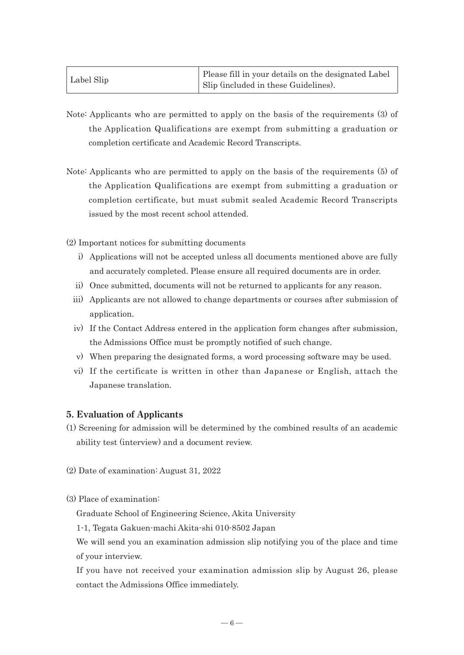|            | Please fill in your details on the designated Label |
|------------|-----------------------------------------------------|
| Label Slip | Slip (included in these Guidelines).                |

- Note: Applicants who are permitted to apply on the basis of the requirements (3) of the Application Qualifications are exempt from submitting a graduation or completion certificate and Academic Record Transcripts.
- Note: Applicants who are permitted to apply on the basis of the requirements (5) of the Application Qualifications are exempt from submitting a graduation or completion certificate, but must submit sealed Academic Record Transcripts issued by the most recent school attended.

(2) Important notices for submitting documents

- i) Applications will not be accepted unless all documents mentioned above are fully and accurately completed. Please ensure all required documents are in order.
- ii) Once submitted, documents will not be returned to applicants for any reason.
- iii) Applicants are not allowed to change departments or courses after submission of application.
- iv) If the Contact Address entered in the application form changes after submission, the Admissions Office must be promptly notified of such change.
- v) When preparing the designated forms, a word processing software may be used.
- vi) If the certificate is written in other than Japanese or English, attach the Japanese translation.

#### **5. Evaluation of Applicants**

- (1) Screening for admission will be determined by the combined results of an academic ability test (interview) and a document review.
- (2) Date of examination: August 31, 2022
- (3) Place of examination:

Graduate School of Engineering Science, Akita University

1-1, Tegata Gakuen-machi Akita-shi 010-8502 Japan

We will send you an examination admission slip notifying you of the place and time of your interview.

If you have not received your examination admission slip by August 26, please contact the Admissions Office immediately.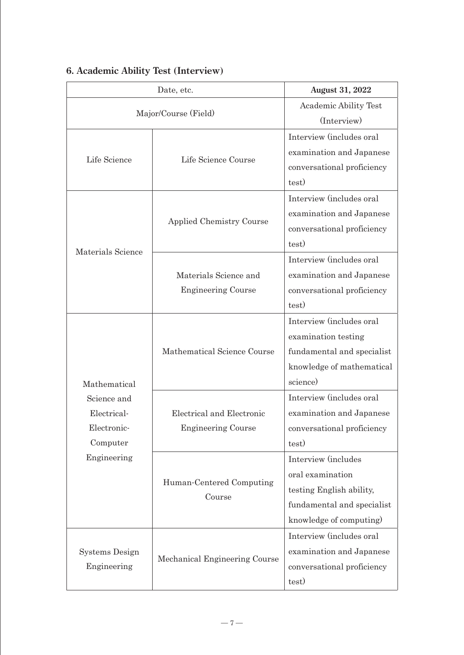| Date, etc.            |                                    | <b>August 31, 2022</b>       |
|-----------------------|------------------------------------|------------------------------|
|                       |                                    | <b>Academic Ability Test</b> |
|                       | Major/Course (Field)               | (Interview)                  |
|                       |                                    | Interview (includes oral     |
|                       |                                    | examination and Japanese     |
| Life Science          | Life Science Course                | conversational proficiency   |
|                       |                                    | test)                        |
|                       |                                    | Interview (includes oral     |
|                       |                                    | examination and Japanese     |
|                       | <b>Applied Chemistry Course</b>    | conversational proficiency   |
|                       |                                    | test)                        |
| Materials Science     |                                    | Interview (includes oral     |
|                       | Materials Science and              | examination and Japanese     |
|                       | <b>Engineering Course</b>          | conversational proficiency   |
|                       |                                    | test)                        |
|                       |                                    | Interview (includes oral     |
|                       |                                    | examination testing          |
|                       | Mathematical Science Course        | fundamental and specialist   |
|                       |                                    | knowledge of mathematical    |
| Mathematical          |                                    | science)                     |
| Science and           |                                    | Interview (includes oral     |
| Electrical-           | Electrical and Electronic          | examination and Japanese     |
| Electronic-           | <b>Engineering Course</b>          | conversational proficiency   |
| Computer              |                                    | test)                        |
| Engineering           |                                    | Interview (includes          |
|                       |                                    | oral examination             |
|                       | Human-Centered Computing<br>Course | testing English ability,     |
|                       |                                    | fundamental and specialist   |
|                       |                                    | knowledge of computing)      |
|                       |                                    | Interview (includes oral     |
| <b>Systems Design</b> | Mechanical Engineering Course      | examination and Japanese     |
| Engineering           |                                    | conversational proficiency   |
|                       |                                    | test)                        |

## **6. Academic Ability Test (Interview)**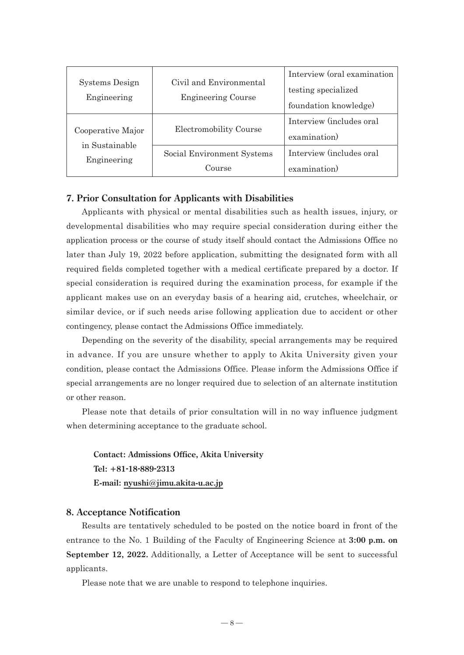| Systems Design<br>Engineering | Civil and Environmental<br><b>Engineering Course</b> | Interview (oral examination<br>testing specialized<br>foundation knowledge) |
|-------------------------------|------------------------------------------------------|-----------------------------------------------------------------------------|
| Cooperative Major             | Electromobility Course                               | Interview (includes oral<br>examination)                                    |
| in Sustainable<br>Engineering | Social Environment Systems<br>Course                 | Interview (includes oral<br>examination)                                    |

#### **7. Prior Consultation for Applicants with Disabilities**

Applicants with physical or mental disabilities such as health issues, injury, or developmental disabilities who may require special consideration during either the application process or the course of study itself should contact the Admissions Office no later than July 19, 2022 before application, submitting the designated form with all required fields completed together with a medical certificate prepared by a doctor. If special consideration is required during the examination process, for example if the applicant makes use on an everyday basis of a hearing aid, crutches, wheelchair, or similar device, or if such needs arise following application due to accident or other contingency, please contact the Admissions Office immediately.

Depending on the severity of the disability, special arrangements may be required in advance. If you are unsure whether to apply to Akita University given your condition, please contact the Admissions Office. Please inform the Admissions Office if special arrangements are no longer required due to selection of an alternate institution or other reason.

Please note that details of prior consultation will in no way influence judgment when determining acceptance to the graduate school.

**Contact: Admissions Office, Akita University Tel: +81-18-889-2313 E-mail: nyushi@jimu.akita-u.ac.jp**

#### **8. Acceptance Notification**

Results are tentatively scheduled to be posted on the notice board in front of the entrance to the No. 1 Building of the Faculty of Engineering Science at **3:00 p.m. on September 12, 2022.** Additionally, a Letter of Acceptance will be sent to successful applicants.

Please note that we are unable to respond to telephone inquiries.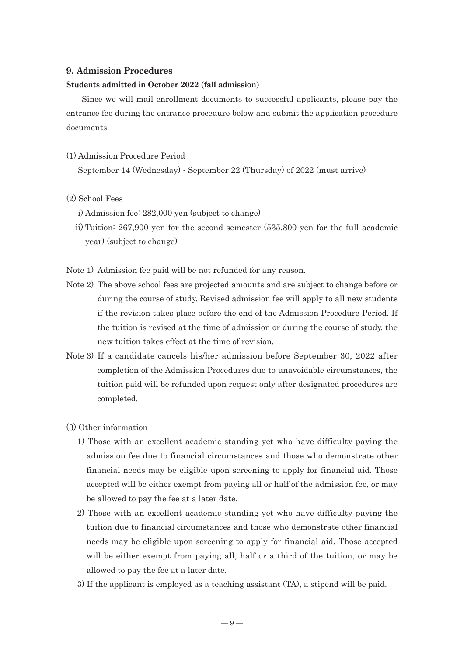#### **9. Admission Procedures**

#### **Students admitted in October 2022 (fall admission)**

Since we will mail enrollment documents to successful applicants, please pay the entrance fee during the entrance procedure below and submit the application procedure documents.

#### (1) Admission Procedure Period

September 14 (Wednesday) - September 22 (Thursday) of 2022 (must arrive)

- (2) School Fees
	- i) Admission fee: 282,000 yen (subject to change)
	- ii) Tuition: 267,900 yen for the second semester (535,800 yen for the full academic year) (subject to change)
- Note 1) Admission fee paid will be not refunded for any reason.
- Note 2) The above school fees are projected amounts and are subject to change before or during the course of study. Revised admission fee will apply to all new students if the revision takes place before the end of the Admission Procedure Period. If the tuition is revised at the time of admission or during the course of study, the new tuition takes effect at the time of revision.
- Note 3) If a candidate cancels his/her admission before September 30, 2022 after completion of the Admission Procedures due to unavoidable circumstances, the tuition paid will be refunded upon request only after designated procedures are completed.
- (3) Other information
	- 1) Those with an excellent academic standing yet who have difficulty paying the admission fee due to financial circumstances and those who demonstrate other financial needs may be eligible upon screening to apply for financial aid. Those accepted will be either exempt from paying all or half of the admission fee, or may be allowed to pay the fee at a later date.
	- 2) Those with an excellent academic standing yet who have difficulty paying the tuition due to financial circumstances and those who demonstrate other financial needs may be eligible upon screening to apply for financial aid. Those accepted will be either exempt from paying all, half or a third of the tuition, or may be allowed to pay the fee at a later date.
	- 3) If the applicant is employed as a teaching assistant (TA), a stipend will be paid.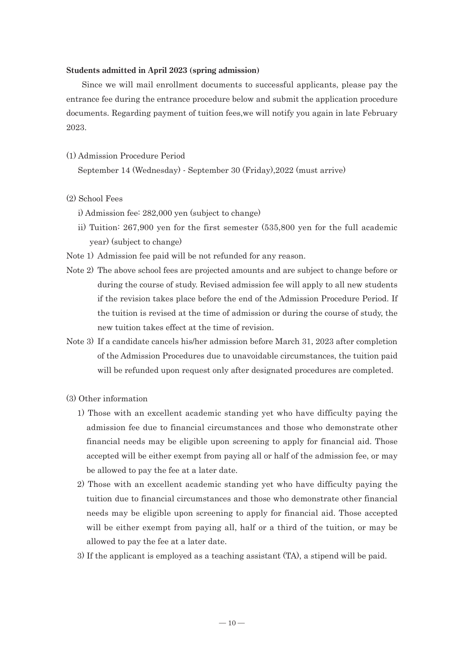#### **Students admitted in April 2023 (spring admission)**

Since we will mail enrollment documents to successful applicants, please pay the entrance fee during the entrance procedure below and submit the application procedure documents. Regarding payment of tuition fees,we will notify you again in late February 2023.

(1) Admission Procedure Period

September 14 (Wednesday) - September 30 (Friday),2022 (must arrive)

- (2) School Fees
	- i) Admission fee: 282,000 yen (subject to change)
	- ii) Tuition: 267,900 yen for the first semester (535,800 yen for the full academic year) (subject to change)
- Note 1) Admission fee paid will be not refunded for any reason.
- Note 2) The above school fees are projected amounts and are subject to change before or during the course of study. Revised admission fee will apply to all new students if the revision takes place before the end of the Admission Procedure Period. If the tuition is revised at the time of admission or during the course of study, the new tuition takes effect at the time of revision.
- Note 3) If a candidate cancels his/her admission before March 31, 2023 after completion of the Admission Procedures due to unavoidable circumstances, the tuition paid will be refunded upon request only after designated procedures are completed.
- (3) Other information
	- 1) Those with an excellent academic standing yet who have difficulty paying the admission fee due to financial circumstances and those who demonstrate other financial needs may be eligible upon screening to apply for financial aid. Those accepted will be either exempt from paying all or half of the admission fee, or may be allowed to pay the fee at a later date.
	- 2) Those with an excellent academic standing yet who have difficulty paying the tuition due to financial circumstances and those who demonstrate other financial needs may be eligible upon screening to apply for financial aid. Those accepted will be either exempt from paying all, half or a third of the tuition, or may be allowed to pay the fee at a later date.
	- 3) If the applicant is employed as a teaching assistant (TA), a stipend will be paid.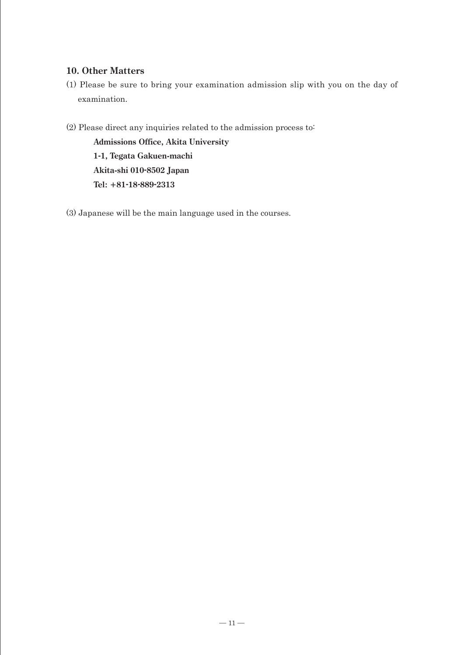## **10. Other Matters**

- (1) Please be sure to bring your examination admission slip with you on the day of examination.
- (2) Please direct any inquiries related to the admission process to:

**Admissions Office, Akita University 1-1, Tegata Gakuen-machi Akita-shi 010-8502 Japan Tel: +81-18-889-2313**

(3) Japanese will be the main language used in the courses.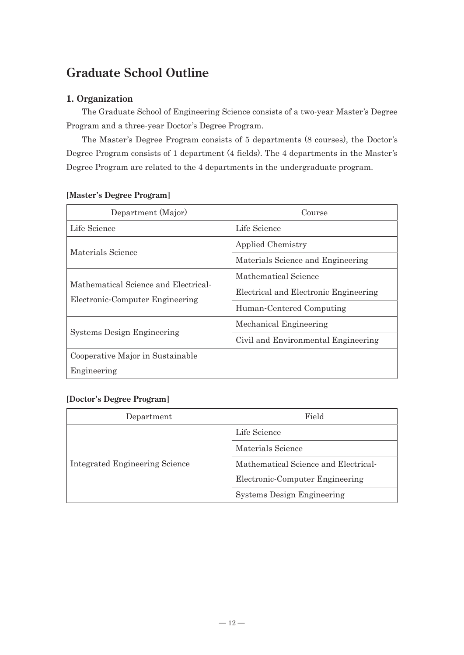## **Graduate School Outline**

## **1. Organization**

The Graduate School of Engineering Science consists of a two-year Master's Degree Program and a three-year Doctor's Degree Program.

The Master's Degree Program consists of 5 departments (8 courses), the Doctor's Degree Program consists of 1 department (4 fields). The 4 departments in the Master's Degree Program are related to the 4 departments in the undergraduate program.

| Department (Major)                                                      | Course                                |
|-------------------------------------------------------------------------|---------------------------------------|
| Life Science                                                            | Life Science                          |
|                                                                         | Applied Chemistry                     |
| Materials Science                                                       | Materials Science and Engineering     |
|                                                                         | Mathematical Science                  |
| Mathematical Science and Electrical-<br>Electronic-Computer Engineering | Electrical and Electronic Engineering |
|                                                                         | Human-Centered Computing              |
|                                                                         | Mechanical Engineering                |
| <b>Systems Design Engineering</b>                                       | Civil and Environmental Engineering   |
| Cooperative Major in Sustainable                                        |                                       |
| Engineering                                                             |                                       |

### **[Master's Degree Program]**

### **[Doctor's Degree Program]**

| Department                            | Field                                |  |
|---------------------------------------|--------------------------------------|--|
| <b>Integrated Engineering Science</b> | Life Science                         |  |
|                                       | Materials Science                    |  |
|                                       | Mathematical Science and Electrical- |  |
|                                       | Electronic-Computer Engineering      |  |
|                                       | <b>Systems Design Engineering</b>    |  |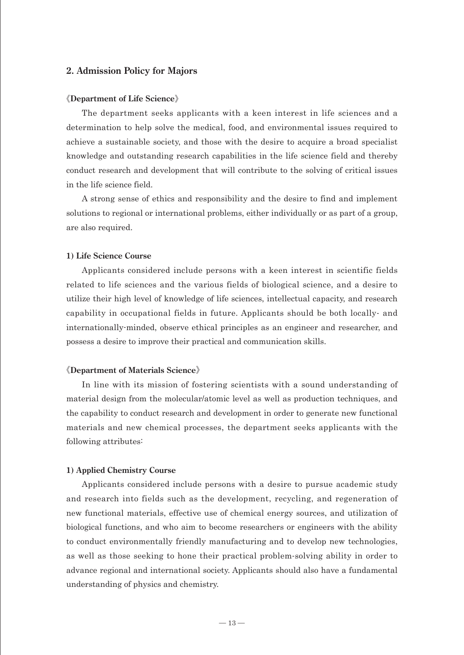#### **2. Admission Policy for Majors**

#### 《**Department of Life Science**》

The department seeks applicants with a keen interest in life sciences and a determination to help solve the medical, food, and environmental issues required to achieve a sustainable society, and those with the desire to acquire a broad specialist knowledge and outstanding research capabilities in the life science field and thereby conduct research and development that will contribute to the solving of critical issues in the life science field.

A strong sense of ethics and responsibility and the desire to find and implement solutions to regional or international problems, either individually or as part of a group, are also required.

#### **1) Life Science Course**

Applicants considered include persons with a keen interest in scientific fields related to life sciences and the various fields of biological science, and a desire to utilize their high level of knowledge of life sciences, intellectual capacity, and research capability in occupational fields in future. Applicants should be both locally- and internationally-minded, observe ethical principles as an engineer and researcher, and possess a desire to improve their practical and communication skills.

#### 《**Department of Materials Science**》

In line with its mission of fostering scientists with a sound understanding of material design from the molecular/atomic level as well as production techniques, and the capability to conduct research and development in order to generate new functional materials and new chemical processes, the department seeks applicants with the following attributes:

#### **1) Applied Chemistry Course**

Applicants considered include persons with a desire to pursue academic study and research into fields such as the development, recycling, and regeneration of new functional materials, effective use of chemical energy sources, and utilization of biological functions, and who aim to become researchers or engineers with the ability to conduct environmentally friendly manufacturing and to develop new technologies, as well as those seeking to hone their practical problem-solving ability in order to advance regional and international society. Applicants should also have a fundamental understanding of physics and chemistry.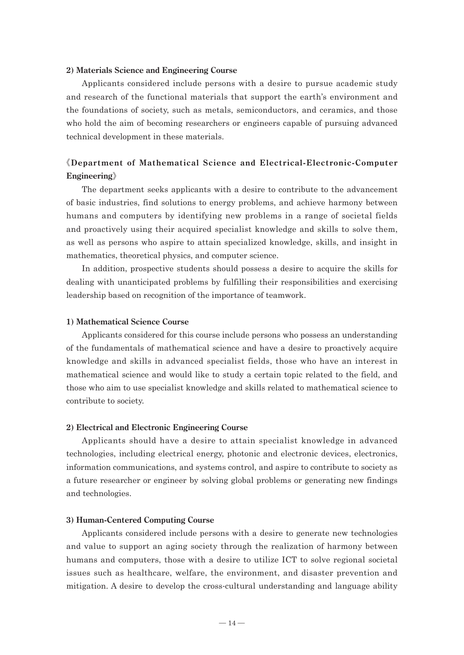#### **2) Materials Science and Engineering Course**

Applicants considered include persons with a desire to pursue academic study and research of the functional materials that support the earth's environment and the foundations of society, such as metals, semiconductors, and ceramics, and those who hold the aim of becoming researchers or engineers capable of pursuing advanced technical development in these materials.

## 《**Department of Mathematical Science and Electrical-Electronic-Computer Engineering**》

The department seeks applicants with a desire to contribute to the advancement of basic industries, find solutions to energy problems, and achieve harmony between humans and computers by identifying new problems in a range of societal fields and proactively using their acquired specialist knowledge and skills to solve them, as well as persons who aspire to attain specialized knowledge, skills, and insight in mathematics, theoretical physics, and computer science.

In addition, prospective students should possess a desire to acquire the skills for dealing with unanticipated problems by fulfilling their responsibilities and exercising leadership based on recognition of the importance of teamwork.

#### **1) Mathematical Science Course**

Applicants considered for this course include persons who possess an understanding of the fundamentals of mathematical science and have a desire to proactively acquire knowledge and skills in advanced specialist fields, those who have an interest in mathematical science and would like to study a certain topic related to the field, and those who aim to use specialist knowledge and skills related to mathematical science to contribute to society.

#### **2) Electrical and Electronic Engineering Course**

Applicants should have a desire to attain specialist knowledge in advanced technologies, including electrical energy, photonic and electronic devices, electronics, information communications, and systems control, and aspire to contribute to society as a future researcher or engineer by solving global problems or generating new findings and technologies.

#### **3) Human-Centered Computing Course**

Applicants considered include persons with a desire to generate new technologies and value to support an aging society through the realization of harmony between humans and computers, those with a desire to utilize ICT to solve regional societal issues such as healthcare, welfare, the environment, and disaster prevention and mitigation. A desire to develop the cross-cultural understanding and language ability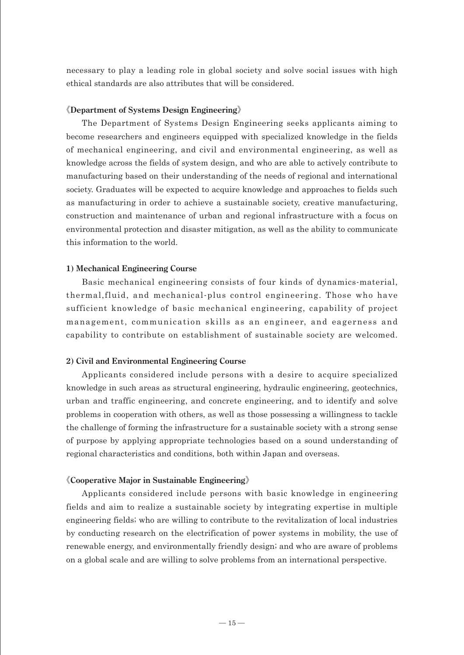necessary to play a leading role in global society and solve social issues with high ethical standards are also attributes that will be considered.

#### 《**Department of Systems Design Engineering**》

The Department of Systems Design Engineering seeks applicants aiming to become researchers and engineers equipped with specialized knowledge in the fields of mechanical engineering, and civil and environmental engineering, as well as knowledge across the fields of system design, and who are able to actively contribute to manufacturing based on their understanding of the needs of regional and international society. Graduates will be expected to acquire knowledge and approaches to fields such as manufacturing in order to achieve a sustainable society, creative manufacturing, construction and maintenance of urban and regional infrastructure with a focus on environmental protection and disaster mitigation, as well as the ability to communicate this information to the world.

#### **1) Mechanical Engineering Course**

Basic mechanical engineering consists of four kinds of dynamics-material, thermal,fluid, and mechanical-plus control engineering. Those who have sufficient knowledge of basic mechanical engineering, capability of project management, communication skills as an engineer, and eagerness and capability to contribute on establishment of sustainable society are welcomed.

#### **2) Civil and Environmental Engineering Course**

Applicants considered include persons with a desire to acquire specialized knowledge in such areas as structural engineering, hydraulic engineering, geotechnics, urban and traffic engineering, and concrete engineering, and to identify and solve problems in cooperation with others, as well as those possessing a willingness to tackle the challenge of forming the infrastructure for a sustainable society with a strong sense of purpose by applying appropriate technologies based on a sound understanding of regional characteristics and conditions, both within Japan and overseas.

#### 《**Cooperative Major in Sustainable Engineering**》

Applicants considered include persons with basic knowledge in engineering fields and aim to realize a sustainable society by integrating expertise in multiple engineering fields; who are willing to contribute to the revitalization of local industries by conducting research on the electrification of power systems in mobility, the use of renewable energy, and environmentally friendly design; and who are aware of problems on a global scale and are willing to solve problems from an international perspective.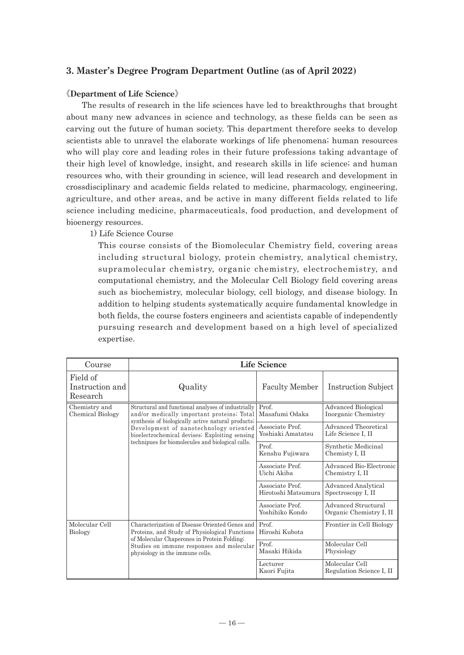### **3. Master's Degree Program Department Outline (as of April 2022)**

#### 《**Department of Life Science**》

The results of research in the life sciences have led to breakthroughs that brought about many new advances in science and technology, as these fields can be seen as carving out the future of human society. This department therefore seeks to develop scientists able to unravel the elaborate workings of life phenomena; human resources who will play core and leading roles in their future professions taking advantage of their high level of knowledge, insight, and research skills in life science; and human resources who, with their grounding in science, will lead research and development in crossdisciplinary and academic fields related to medicine, pharmacology, engineering, agriculture, and other areas, and be active in many different fields related to life science including medicine, pharmaceuticals, food production, and development of bioenergy resources.

1) Life Science Course

This course consists of the Biomolecular Chemistry field, covering areas including structural biology, protein chemistry, analytical chemistry, supramolecular chemistry, organic chemistry, electrochemistry, and computational chemistry, and the Molecular Cell Biology field covering areas such as biochemistry, molecular biology, cell biology, and disease biology. In addition to helping students systematically acquire fundamental knowledge in both fields, the course fosters engineers and scientists capable of independently pursuing research and development based on a high level of specialized expertise.

| Course                                                                       | <b>Life Science</b>                                                                                                                                                                                                                                                                                     |                                                |                                            |
|------------------------------------------------------------------------------|---------------------------------------------------------------------------------------------------------------------------------------------------------------------------------------------------------------------------------------------------------------------------------------------------------|------------------------------------------------|--------------------------------------------|
| Field of<br>Instruction and<br>Research                                      | Quality                                                                                                                                                                                                                                                                                                 | <b>Faculty Member</b>                          | <b>Instruction Subject</b>                 |
| Chemistry and<br>Chemical Biology                                            | Structural and functional analyses of industrially<br>and/or medically important proteins; Total<br>synthesis of biologically active natural products.<br>Development of nanotechnology oriented<br>bioelectrochemical devises; Exploiting sensing<br>technipues for biomolecules and biological calls. | Prof.<br>Masafumi Odaka                        | Advanced Biological<br>Inorganic Chemistry |
|                                                                              |                                                                                                                                                                                                                                                                                                         | Associate Prof.<br>Yoshiaki Amatatsu           | Advanced Theoretical<br>Life Science I, II |
|                                                                              |                                                                                                                                                                                                                                                                                                         | Prof.<br>Kenshu Fujiwara                       | Synthetic Medicinal<br>Chemisty I, II      |
|                                                                              |                                                                                                                                                                                                                                                                                                         | Associate Prof.<br>Uichi Akiba                 | Advanced Bio-Electronic<br>Chemistry I, II |
|                                                                              |                                                                                                                                                                                                                                                                                                         | Associate Prof.<br>Hirotoshi Matsumura         | Advanced Analytical<br>Spectroscopy I, II  |
|                                                                              | Associate Prof.<br>Yoshihiko Kondo                                                                                                                                                                                                                                                                      | Advanced Structural<br>Organic Chemistry I, II |                                            |
| Molecular Cell<br><b>Biology</b>                                             | Characterization of Disease Oriented Genes and<br>Proteins, and Study of Physiological Functions<br>of Molecular Chaperones in Protein Folding;                                                                                                                                                         | Prof.<br>Hiroshi Kubota                        | Frontier in Cell Biology                   |
| Studies on immune responses and molecular<br>physiology in the immune cells. | Prof<br>Masaki Hikida                                                                                                                                                                                                                                                                                   | Molecular Cell<br>Physiology                   |                                            |
|                                                                              |                                                                                                                                                                                                                                                                                                         | Lecturer<br>Kaori Fujita                       | Molecular Cell<br>Regulation Science I, II |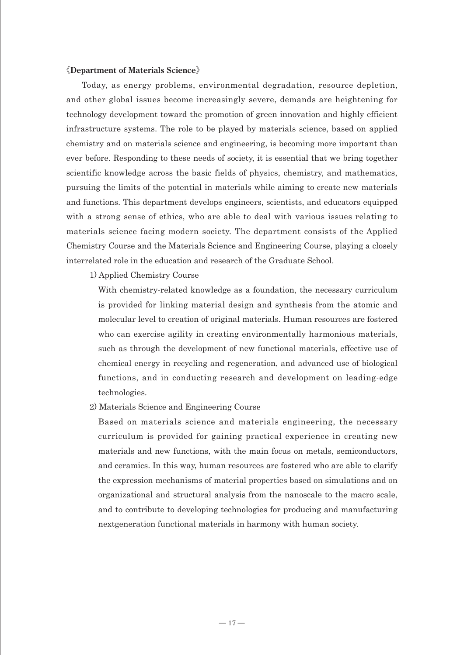#### 《**Department of Materials Science**》

Today, as energy problems, environmental degradation, resource depletion, and other global issues become increasingly severe, demands are heightening for technology development toward the promotion of green innovation and highly efficient infrastructure systems. The role to be played by materials science, based on applied chemistry and on materials science and engineering, is becoming more important than ever before. Responding to these needs of society, it is essential that we bring together scientific knowledge across the basic fields of physics, chemistry, and mathematics, pursuing the limits of the potential in materials while aiming to create new materials and functions. This department develops engineers, scientists, and educators equipped with a strong sense of ethics, who are able to deal with various issues relating to materials science facing modern society. The department consists of the Applied Chemistry Course and the Materials Science and Engineering Course, playing a closely interrelated role in the education and research of the Graduate School.

1) Applied Chemistry Course

With chemistry-related knowledge as a foundation, the necessary curriculum is provided for linking material design and synthesis from the atomic and molecular level to creation of original materials. Human resources are fostered who can exercise agility in creating environmentally harmonious materials, such as through the development of new functional materials, effective use of chemical energy in recycling and regeneration, and advanced use of biological functions, and in conducting research and development on leading-edge technologies.

2) Materials Science and Engineering Course

Based on materials science and materials engineering, the necessary curriculum is provided for gaining practical experience in creating new materials and new functions, with the main focus on metals, semiconductors, and ceramics. In this way, human resources are fostered who are able to clarify the expression mechanisms of material properties based on simulations and on organizational and structural analysis from the nanoscale to the macro scale, and to contribute to developing technologies for producing and manufacturing nextgeneration functional materials in harmony with human society.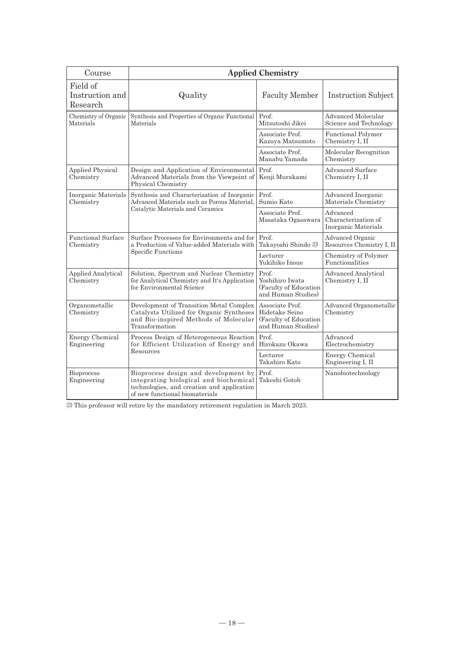| Course                                  | <b>Applied Chemistry</b>                                                                                                                                       |                                                                                  |                                                        |
|-----------------------------------------|----------------------------------------------------------------------------------------------------------------------------------------------------------------|----------------------------------------------------------------------------------|--------------------------------------------------------|
| Field of<br>Instruction and<br>Research | Quality                                                                                                                                                        | <b>Faculty Member</b>                                                            | <b>Instruction Subject</b>                             |
| Chemistry of Organic<br>Materials       | Synthesis and Properties of Organic Functional<br>Materials                                                                                                    | Prof.<br>Mitsutoshi Jikei                                                        | Advanced Molecular<br>Science and Technology           |
|                                         |                                                                                                                                                                | Associate Prof.<br>Kazuya Matsumoto                                              | <b>Functional Polymer</b><br>Chemistry I, II           |
|                                         |                                                                                                                                                                | Associate Prof.<br>Manabu Yamada                                                 | Molecular Recognition<br>Chemistry                     |
| <b>Applied Physical</b><br>Chemistry    | Design and Application of Environmental<br>Advanced Materials from the Viewpoint of<br>Physical Chemistry                                                      | Prof.<br>Kenji Murakami                                                          | <b>Advanced Surface</b><br>Chemistry I, II             |
| Inorganic Materials<br>Chemistry        | Synthesis and Characterization of Inorganic<br>Advanced Materials such as Porous Material,                                                                     | Prof.<br>Sumio Kato                                                              | Advanced Inorganic<br>Materials Chemistry              |
|                                         | Catalytic Materials and Ceramics                                                                                                                               | Associate Prof.<br>Masataka Ogasawara                                            | Advanced<br>Characterization of<br>Inorganic Materials |
| <b>Functional Surface</b><br>Chemistry  | Surface Processes for Environments and for<br>a Production of Value-added Materials with                                                                       | Prof.<br>Takayoshi Shindo 23                                                     | Advanced Organic<br>Resources Chemistry I, II          |
|                                         | Specific Functions                                                                                                                                             | Lecturer<br>Yukihiko Inoue                                                       | Chemistry of Polymer<br>Functionalities                |
| <b>Applied Analytical</b><br>Chemistry  | Solution, Spectrum and Nuclear Chemistry<br>for Analytical Chemistry and It's Application<br>for Environmental Science                                         | Prof.<br>Yoshihiro Iwata<br>(Faculty of Education<br>and Human Studies)          | <b>Advanced Analytical</b><br>Chemistry I, II          |
| Organometallic<br>Chemistry             | Development of Transition Metal Complex<br>Catalysts Utilized for Organic Syntheses<br>and Bio-inspired Methods of Molecular<br>Transformation                 | Associate Prof.<br>Hidetake Seino<br>(Faculty of Education<br>and Human Studies) | Advanced Organometallic<br>Chemistry                   |
| <b>Energy Chemical</b><br>Engineering   | Process Design of Heterogeneous Reaction<br>for Efficient Utilization of Energy and                                                                            | Prof.<br>Hirokazu Okawa                                                          | Advanced<br>Electrochemistry                           |
| Resources                               | Lecturer<br>Takahiro Kato                                                                                                                                      | <b>Energy Chemical</b><br>Engineering I, II                                      |                                                        |
| <b>Bioprocess</b><br>Engineering        | Bioprocess design and development by<br>integrating biological and biochemical<br>technologies, and creation and application<br>of new functional biomaterials | Prof.<br>Takeshi Gotoh                                                           | Nanobiotechnology                                      |

㉓ This professor will retire by the mandatory retirement regulation in March 2023.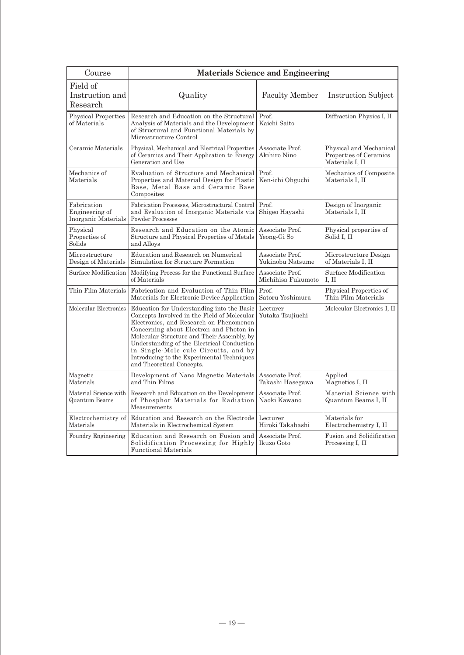| Course                                               | <b>Materials Science and Engineering</b>                                                                                                                                                                                                                                                                                                                                                       |                                       |                                                                      |
|------------------------------------------------------|------------------------------------------------------------------------------------------------------------------------------------------------------------------------------------------------------------------------------------------------------------------------------------------------------------------------------------------------------------------------------------------------|---------------------------------------|----------------------------------------------------------------------|
| Field of<br>Instruction and<br>Research              | Quality                                                                                                                                                                                                                                                                                                                                                                                        | <b>Faculty Member</b>                 | <b>Instruction Subject</b>                                           |
| <b>Physical Properties</b><br>of Materials           | Research and Education on the Structural<br>Analysis of Materials and the Development<br>of Structural and Functional Materials by<br>Microstructure Control                                                                                                                                                                                                                                   | Prof.<br>Kaichi Saito                 | Diffraction Physics I, II                                            |
| Ceramic Materials                                    | Physical, Mechanical and Electrical Properties<br>of Ceramics and Their Application to Energy<br>Generation and Use                                                                                                                                                                                                                                                                            | Associate Prof.<br>Akihiro Nino       | Physical and Mechanical<br>Properties of Ceramics<br>Materials I, II |
| Mechanics of<br>Materials                            | Evaluation of Structure and Mechanical<br>Properties and Material Design for Plastic<br>Base, Metal Base and Ceramic Base<br>Composites                                                                                                                                                                                                                                                        | Prof.<br>Ken-ichi Ohguchi             | Mechanics of Composite<br>Materials I, II                            |
| Fabrication<br>Engineering of<br>Inorganic Materials | Fabrication Processes, Microstructural Control<br>and Evaluation of Inorganic Materials via<br><b>Powder Processes</b>                                                                                                                                                                                                                                                                         | Prof.<br>Shigeo Hayashi               | Design of Inorganic<br>Materials I, II                               |
| Physical<br>Properties of<br>Solids                  | Research and Education on the Atomic<br>Structure and Physical Properties of Metals<br>and Alloys                                                                                                                                                                                                                                                                                              | Associate Prof.<br>Yeong-Gi So        | Physical properties of<br>Solid I, II                                |
| Microstructure<br>Design of Materials                | Education and Research on Numerical<br>Simulation for Structure Formation                                                                                                                                                                                                                                                                                                                      | Associate Prof.<br>Yukinobu Natsume   | Microstructure Design<br>of Materials I, II                          |
| Surface Modification                                 | Modifying Process for the Functional Surface<br>of Materials                                                                                                                                                                                                                                                                                                                                   | Associate Prof.<br>Michihisa Fukumoto | Surface Modification<br>I, II                                        |
| Thin Film Materials                                  | Fabrication and Evaluation of Thin Film<br>Materials for Electronic Device Application                                                                                                                                                                                                                                                                                                         | Prof.<br>Satoru Yoshimura             | Physical Properties of<br>Thin Film Materials                        |
| Molecular Electronics                                | Education for Understanding into the Basic<br>Concepts Involved in the Field of Molecular<br>Electronics, and Research on Phenomenon<br>Concerning about Electron and Photon in<br>Molecular Structure and Their Assembly, by<br>Understanding of the Electrical Conduction<br>in Single-Mole cule Circuits, and by<br>Introducing to the Experimental Techniques<br>and Theoretical Concepts. | Lecturer<br>Yutaka Tsujiuchi          | Molecular Electronics I, II                                          |
| Magnetic<br>Materials                                | Development of Nano Magnetic Materials<br>and Thin Films                                                                                                                                                                                                                                                                                                                                       | Associate Prof.<br>Takashi Hasegawa   | Applied<br>Magnetics I, II                                           |
| Material Science with<br>Quantum Beams               | Research and Education on the Development<br>of Phosphor Materials for Radiation<br>Measurements                                                                                                                                                                                                                                                                                               | Associate Prof.<br>Naoki Kawano       | Material Science with<br>Quantum Beams I, II                         |
| Electrochemistry of<br>Materials                     | Education and Research on the Electrode<br>Materials in Electrochemical System                                                                                                                                                                                                                                                                                                                 | Lecturer<br>Hiroki Takahashi          | Materials for<br>Electrochemistry I, II                              |
| Foundry Engineering                                  | Education and Research on Fusion and<br>Solidification Processing for Highly<br><b>Functional Materials</b>                                                                                                                                                                                                                                                                                    | Associate Prof.<br>Ikuzo Goto         | Fusion and Solidification<br>Processing I, II                        |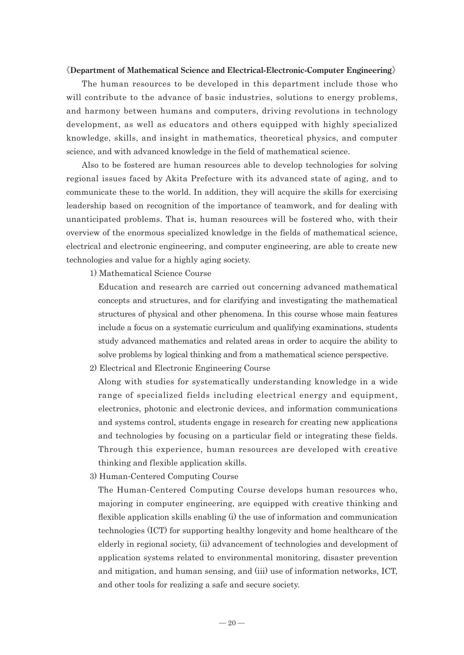#### 《**Department of Mathematical Science and Electrical-Electronic-Computer Engineering**》

The human resources to be developed in this department include those who will contribute to the advance of basic industries, solutions to energy problems, and harmony between humans and computers, driving revolutions in technology development, as well as educators and others equipped with highly specialized knowledge, skills, and insight in mathematics, theoretical physics, and computer science, and with advanced knowledge in the field of mathematical science.

Also to be fostered are human resources able to develop technologies for solving regional issues faced by Akita Prefecture with its advanced state of aging, and to communicate these to the world. In addition, they will acquire the skills for exercising leadership based on recognition of the importance of teamwork, and for dealing with unanticipated problems. That is, human resources will be fostered who, with their overview of the enormous specialized knowledge in the fields of mathematical science, electrical and electronic engineering, and computer engineering, are able to create new technologies and value for a highly aging society.

1) Mathematical Science Course

Education and research are carried out concerning advanced mathematical concepts and structures, and for clarifying and investigating the mathematical structures of physical and other phenomena. In this course whose main features include a focus on a systematic curriculum and qualifying examinations, students study advanced mathematics and related areas in order to acquire the ability to solve problems by logical thinking and from a mathematical science perspective.

2) Electrical and Electronic Engineering Course

Along with studies for systematically understanding knowledge in a wide range of specialized fields including electrical energy and equipment, electronics, photonic and electronic devices, and information communications and systems control, students engage in research for creating new applications and technologies by focusing on a particular field or integrating these fields. Through this experience, human resources are developed with creative thinking and flexible application skills.

3) Human-Centered Computing Course

The Human-Centered Computing Course develops human resources who, majoring in computer engineering, are equipped with creative thinking and flexible application skills enabling (i) the use of information and communication technologies (ICT) for supporting healthy longevity and home healthcare of the elderly in regional society, (ii) advancement of technologies and development of application systems related to environmental monitoring, disaster prevention and mitigation, and human sensing, and (iii) use of information networks, ICT, and other tools for realizing a safe and secure society.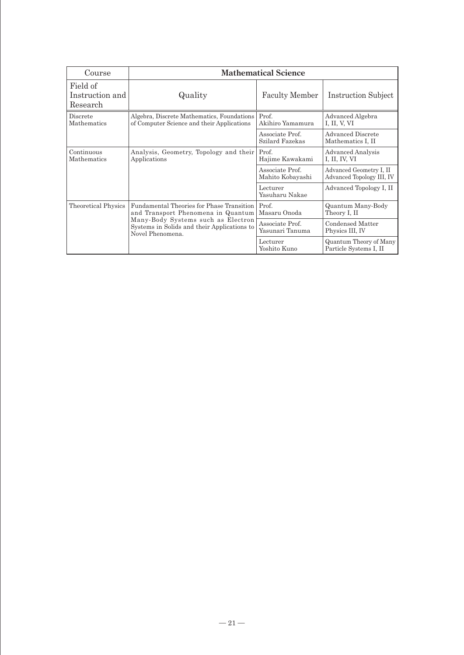| Course                                  | <b>Mathematical Science</b>                                                                           |                                     |                                                      |
|-----------------------------------------|-------------------------------------------------------------------------------------------------------|-------------------------------------|------------------------------------------------------|
| Field of<br>Instruction and<br>Research | Quality                                                                                               | <b>Faculty Member</b>               | <b>Instruction Subject</b>                           |
| Discrete<br>Mathematics                 | Algebra, Discrete Mathematics, Foundations<br>of Computer Science and their Applications              | Prof.<br>Akihiro Yamamura           | Advanced Algebra<br>I, II, V, VI                     |
|                                         |                                                                                                       | Associate Prof.<br>Szilard Fazekas  | Advanced Discrete<br>Mathematics I, II               |
| Continuous<br>Mathematics               | Analysis, Geometry, Topology and their<br>Applications                                                | Prof.<br>Hajime Kawakami            | <b>Advanced Analysis</b><br>I, II, IV, VI            |
|                                         |                                                                                                       | Associate Prof.<br>Mahito Kobayashi | Advanced Geometry I, II<br>Advanced Topology III, IV |
|                                         |                                                                                                       | Lecturer<br>Yasuharu Nakae          | Advanced Topology I, II                              |
| <b>Theoretical Physics</b>              | Fundamental Theories for Phase Transition<br>and Transport Phenomena in Quantum                       | Prof.<br>Masaru Onoda               | Quantum Many-Body<br>Theory I, II                    |
|                                         | Many-Body Systems such as Electron<br>Systems in Solids and their Applications to<br>Novel Phenomena. | Associate Prof.<br>Yasunari Tanuma  | Condensed Matter<br>Physics III, IV                  |
|                                         |                                                                                                       | Lecturer<br>Yoshito Kuno            | Quantum Theory of Many<br>Particle Systems I, II     |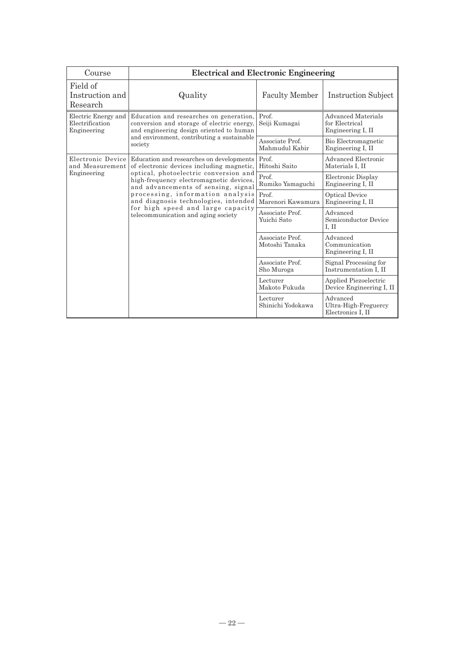| Course                                                | <b>Electrical and Electronic Engineering</b>                                                                                                                                                                                                                                    |                                   |                                                                  |
|-------------------------------------------------------|---------------------------------------------------------------------------------------------------------------------------------------------------------------------------------------------------------------------------------------------------------------------------------|-----------------------------------|------------------------------------------------------------------|
| Field of<br>Instruction and<br>Research               | Quality                                                                                                                                                                                                                                                                         | <b>Faculty Member</b>             | <b>Instruction Subject</b>                                       |
| Electric Energy and<br>Electrification<br>Engineering | Education and researches on generation,<br>conversion and storage of electric energy,<br>and engineering design oriented to human<br>and environment, contributing a sustainable<br>society                                                                                     | Prof.<br>Seiji Kumagai            | <b>Advanced Materials</b><br>for Electrical<br>Engineering I, II |
|                                                       |                                                                                                                                                                                                                                                                                 | Associate Prof.<br>Mahmudul Kabir | Bio Electromagnetic<br>Engineering I, II                         |
| Electronic Device<br>and Measurement<br>Engineering   | Education and researches on developments<br>of electronic devices including magnetic,                                                                                                                                                                                           | Prof.<br>Hitoshi Saito            | Advanced Electronic<br>Materials I. II                           |
|                                                       | optical, photoelectric conversion and<br>high-frequency electromagnetic devices,<br>and advancements of sensing, signal<br>processing, information analysis<br>and diagnosis technologies, intended<br>for high speed and large capacity<br>telecommunication and aging society | Prof.<br>Rumiko Yamaguchi         | Electronic Display<br>Engineering I, II                          |
|                                                       |                                                                                                                                                                                                                                                                                 | Prof.<br>Marenori Kawamura        | <b>Optical Device</b><br>Engineering I, II                       |
|                                                       |                                                                                                                                                                                                                                                                                 | Associate Prof.<br>Yuichi Sato    | Advanced<br>Semiconductor Device<br>I. II                        |
|                                                       |                                                                                                                                                                                                                                                                                 | Associate Prof.<br>Motoshi Tanaka | Advanced<br>Communication<br>Engineering I, II                   |
|                                                       |                                                                                                                                                                                                                                                                                 | Associate Prof.<br>Sho Muroga     | Signal Processing for<br>Instrumentation I, II                   |
|                                                       |                                                                                                                                                                                                                                                                                 | Lecturer<br>Makoto Fukuda         | Applied Piezoelectric<br>Device Engineering I, II                |
|                                                       |                                                                                                                                                                                                                                                                                 | Lecturer<br>Shinichi Yodokawa     | Advanced<br>Ultra-High-Freguercy<br>Electronics I. II            |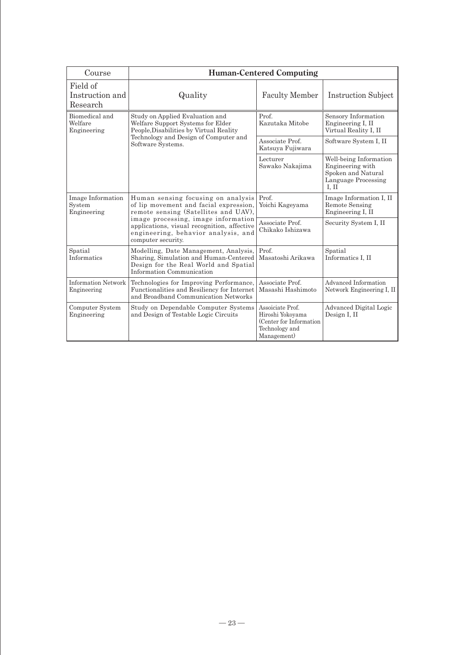| Course                                     | <b>Human-Centered Computing</b>                                                                                                                                                                                                                                         |                                                                                                   |                                                                                                 |
|--------------------------------------------|-------------------------------------------------------------------------------------------------------------------------------------------------------------------------------------------------------------------------------------------------------------------------|---------------------------------------------------------------------------------------------------|-------------------------------------------------------------------------------------------------|
| Field of<br>Instruction and<br>Research    | Quality                                                                                                                                                                                                                                                                 | <b>Faculty Member</b>                                                                             | <b>Instruction Subject</b>                                                                      |
| Biomedical and<br>Welfare<br>Engineering   | Study on Applied Evaluation and<br>Welfare Support Systems for Elder<br>People, Disabilities by Virtual Reality<br>Technology and Design of Computer and<br>Software Systems.                                                                                           | Prof.<br>Kazutaka Mitobe                                                                          | Sensory Information<br>Engineering I, II<br>Virtual Reality I, II                               |
|                                            |                                                                                                                                                                                                                                                                         | Associate Prof.<br>Katsuya Fujiwara                                                               | Software System I, II                                                                           |
|                                            |                                                                                                                                                                                                                                                                         | Lecturer<br>Sawako Nakajima                                                                       | Well-being Information<br>Engineering with<br>Spoken and Natural<br>Language Processing<br>L II |
| Image Information<br>System<br>Engineering | Human sensing focusing on analysis<br>of lip movement and facial expression.<br>remote sensing (Satellites and UAV),<br>image processing, image information<br>applications, visual recognition, affective<br>engineering, behavior analysis, and<br>computer security. | Prof.<br>Yoichi Kageyama                                                                          | Image Information I, II<br>Remote Sensing<br>Engineering I, II                                  |
|                                            |                                                                                                                                                                                                                                                                         | Associate Prof.<br>Chikako Ishizawa                                                               | Security System I, II                                                                           |
| Spatial<br>Informatics                     | Modelling, Date Management, Analysis,<br>Sharing, Simulation and Human-Centered<br>Design for the Real World and Spatial<br>Information Communication                                                                                                                   | Prof.<br>Masatoshi Arikawa                                                                        | Spatial<br>Informatics I, II                                                                    |
| Information Network<br>Engineering         | Technologies for Improving Performance,<br>Functionalities and Resiliency for Internet<br>and Broadband Communication Networks                                                                                                                                          | Associate Prof.<br>Masashi Hashimoto                                                              | Advanced Information<br>Network Engineering I, II                                               |
| Computer System<br>Engineering             | Study on Dependable Computer Systems<br>and Design of Testable Logic Circuits                                                                                                                                                                                           | Assoiciate Prof.<br>Hiroshi Yokoyama<br>(Center for Information)<br>Technology and<br>Management) | Advanced Digital Logic<br>Design I, II                                                          |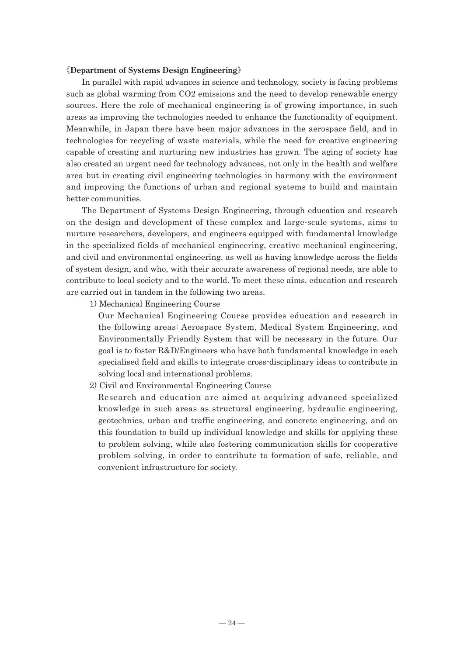#### 《**Department of Systems Design Engineering**》

In parallel with rapid advances in science and technology, society is facing problems such as global warming from CO2 emissions and the need to develop renewable energy sources. Here the role of mechanical engineering is of growing importance, in such areas as improving the technologies needed to enhance the functionality of equipment. Meanwhile, in Japan there have been major advances in the aerospace field, and in technologies for recycling of waste materials, while the need for creative engineering capable of creating and nurturing new industries has grown. The aging of society has also created an urgent need for technology advances, not only in the health and welfare area but in creating civil engineering technologies in harmony with the environment and improving the functions of urban and regional systems to build and maintain better communities.

The Department of Systems Design Engineering, through education and research on the design and development of these complex and large-scale systems, aims to nurture researchers, developers, and engineers equipped with fundamental knowledge in the specialized fields of mechanical engineering, creative mechanical engineering, and civil and environmental engineering, as well as having knowledge across the fields of system design, and who, with their accurate awareness of regional needs, are able to contribute to local society and to the world. To meet these aims, education and research are carried out in tandem in the following two areas.

1) Mechanical Engineering Course

Our Mechanical Engineering Course provides education and research in the following areas: Aerospace System, Medical System Engineering, and Environmentally Friendly System that will be necessary in the future. Our goal is to foster R&D/Engineers who have both fundamental knowledge in each specialised field and skills to integrate cross-disciplinary ideas to contribute in solving local and international problems.

2) Civil and Environmental Engineering Course

Research and education are aimed at acquiring advanced specialized knowledge in such areas as structural engineering, hydraulic engineering, geotechnics, urban and traffic engineering, and concrete engineering, and on this foundation to build up individual knowledge and skills for applying these to problem solving, while also fostering communication skills for cooperative problem solving, in order to contribute to formation of safe, reliable, and convenient infrastructure for society.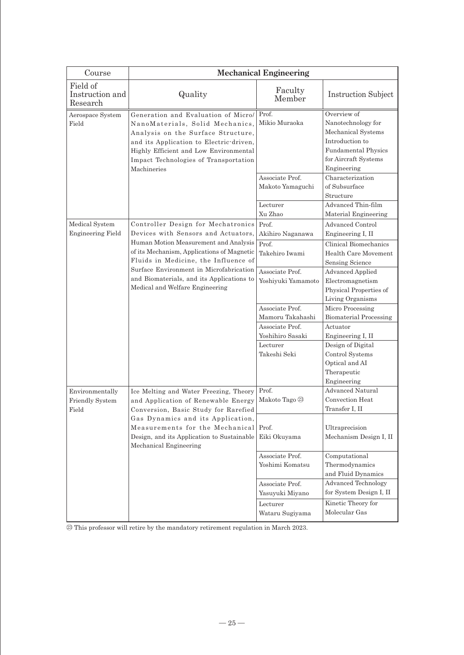| Course                                             | <b>Mechanical Engineering</b>                                                                                                                                                                                                                                                                                                       |                                       |                                                                                                                                                 |
|----------------------------------------------------|-------------------------------------------------------------------------------------------------------------------------------------------------------------------------------------------------------------------------------------------------------------------------------------------------------------------------------------|---------------------------------------|-------------------------------------------------------------------------------------------------------------------------------------------------|
| Field of<br>Instruction and<br>Research            | Quality                                                                                                                                                                                                                                                                                                                             | Faculty<br>Member                     | <b>Instruction Subject</b>                                                                                                                      |
| Aerospace System<br>Field                          | Generation and Evaluation of Micro/<br>NanoMaterials, Solid Mechanics,<br>Analysis on the Surface Structure,<br>and its Application to Electric-driven,<br>Highly Efficient and Low Environmental<br>Impact Technologies of Transportation<br>Machineries                                                                           | Prof.<br>Mikio Muraoka                | Overview of<br>Nanotechnology for<br>Mechanical Systems<br>Introduction to<br><b>Fundamental Physics</b><br>for Aircraft Systems<br>Engineering |
|                                                    |                                                                                                                                                                                                                                                                                                                                     | Associate Prof.<br>Makoto Yamaguchi   | Characterization<br>of Subsurface<br>Structure                                                                                                  |
|                                                    |                                                                                                                                                                                                                                                                                                                                     | Lecturer<br>Xu Zhao                   | Advanced Thin-film<br>Material Engineering                                                                                                      |
| Medical System<br><b>Engineering Field</b>         | Controller Design for Mechatronics<br>Devices with Sensors and Actuators.<br>Human Motion Measurement and Analysis<br>of its Mechanism, Applications of Magnetic<br>Fluids in Medicine, the Influence of<br>Surface Environment in Microfabrication<br>and Biomaterials, and its Applications to<br>Medical and Welfare Engineering | Prof.<br>Akihiro Naganawa             | <b>Advanced Control</b><br>Engineering I, II                                                                                                    |
|                                                    |                                                                                                                                                                                                                                                                                                                                     | Prof.<br>Takehiro Iwami               | Clinical Biomechanics<br>Health Care Movement<br>Sensing Science                                                                                |
|                                                    |                                                                                                                                                                                                                                                                                                                                     | Associate Prof.<br>Yoshiyuki Yamamoto | <b>Advanced Applied</b><br>Electromagnetism<br>Physical Properties of<br>Living Organisms                                                       |
|                                                    |                                                                                                                                                                                                                                                                                                                                     | Associate Prof.                       | Micro Processing                                                                                                                                |
|                                                    |                                                                                                                                                                                                                                                                                                                                     | Mamoru Takahashi                      | <b>Biomaterial Processing</b>                                                                                                                   |
|                                                    |                                                                                                                                                                                                                                                                                                                                     | Associate Prof.                       | Actuator                                                                                                                                        |
|                                                    |                                                                                                                                                                                                                                                                                                                                     | Yoshihiro Sasaki                      | Engineering I, II                                                                                                                               |
|                                                    |                                                                                                                                                                                                                                                                                                                                     | Lecturer<br>Takeshi Seki              | Design of Digital<br>Control Systems<br>Optical and AI<br>Therapeutic                                                                           |
|                                                    |                                                                                                                                                                                                                                                                                                                                     |                                       | Engineering                                                                                                                                     |
| Environmentally<br><b>Friendly System</b><br>Field | Ice Melting and Water Freezing, Theory<br>and Application of Renewable Energy<br>Conversion, Basic Study for Rarefied<br>Gas Dynamics and its Application,<br>Measurements for the Mechanical<br>Design, and its Application to Sustainable<br>Mechanical Engineering                                                               | Prof.<br>Makoto Tago 23               | <b>Advanced Natural</b><br>Convection Heat<br>Transfer I, II                                                                                    |
|                                                    |                                                                                                                                                                                                                                                                                                                                     | Prof.<br>Eiki Okuyama                 | Ultraprecision<br>Mechanism Design I, II                                                                                                        |
|                                                    |                                                                                                                                                                                                                                                                                                                                     | Associate Prof.<br>Yoshimi Komatsu    | Computational<br>Thermodynamics<br>and Fluid Dynamics                                                                                           |
|                                                    |                                                                                                                                                                                                                                                                                                                                     | Associate Prof.                       | Advanced Technology                                                                                                                             |
|                                                    |                                                                                                                                                                                                                                                                                                                                     | Yasuyuki Miyano                       | for System Design I, II                                                                                                                         |
|                                                    |                                                                                                                                                                                                                                                                                                                                     | Lecturer                              | Kinetic Theory for<br>Molecular Gas                                                                                                             |
|                                                    |                                                                                                                                                                                                                                                                                                                                     | Wataru Sugiyama                       |                                                                                                                                                 |

㉓ This professor will retire by the mandatory retirement regulation in March 2023.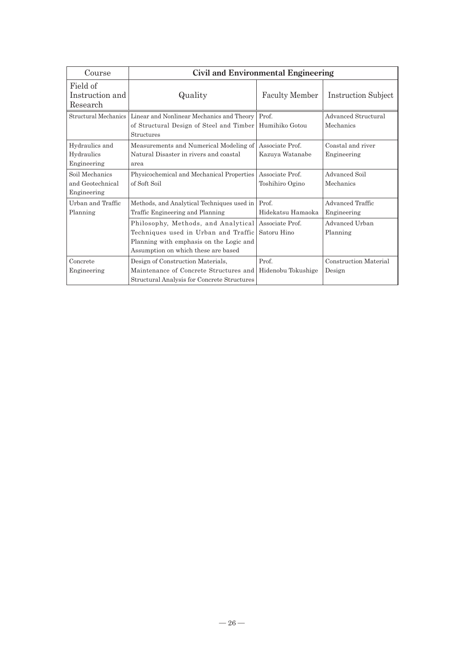| Course                                            | Civil and Environmental Engineering                                                                                                                           |                                    |                                  |
|---------------------------------------------------|---------------------------------------------------------------------------------------------------------------------------------------------------------------|------------------------------------|----------------------------------|
| Field of<br>Instruction and<br>Research           | Quality                                                                                                                                                       | <b>Faculty Member</b>              | Instruction Subject              |
| Structural Mechanics                              | Linear and Nonlinear Mechanics and Theory<br>of Structural Design of Steel and Timber<br><b>Structures</b>                                                    | Prof.<br>Humihiko Gotou            | Advanced Structural<br>Mechanics |
| Hydraulics and<br>Hydraulics<br>Engineering       | Measurements and Numerical Modeling of<br>Natural Disaster in rivers and coastal<br>area                                                                      | Associate Prof.<br>Kazuya Watanabe | Coastal and river<br>Engineering |
| Soil Mechanics<br>and Geotechnical<br>Engineering | Physicochemical and Mechanical Properties<br>of Soft Soil                                                                                                     | Associate Prof.<br>Toshihiro Ogino | Advanced Soil<br>Mechanics       |
| Urban and Traffic<br>Planning                     | Methods, and Analytical Techniques used in<br>Traffic Engineering and Planning                                                                                | Prof.<br>Hidekatsu Hamaoka         | Advanced Traffic<br>Engineering  |
|                                                   | Philosophy, Methods, and Analytical<br>Techniques used in Urban and Traffic<br>Planning with emphasis on the Logic and<br>Assumption on which these are based | Associate Prof.<br>Satoru Hino     | Advanced Urban<br>Planning       |
| Concrete<br>Engineering                           | Design of Construction Materials,<br>Maintenance of Concrete Structures and<br>Structural Analysis for Concrete Structures                                    | Prof.<br>Hidenobu Tokushige        | Construction Material<br>Design  |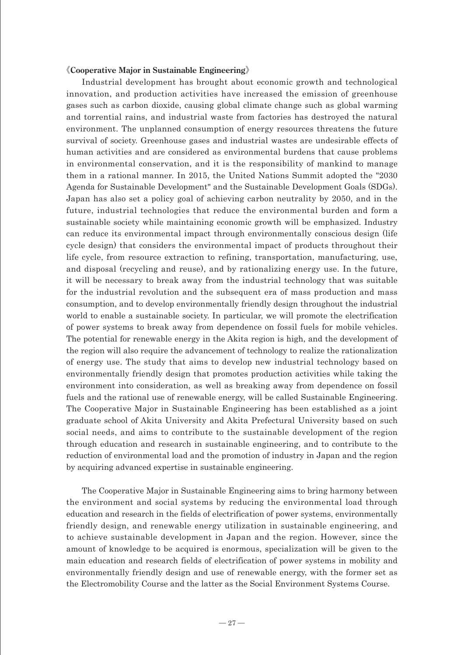#### 《**Cooperative Major in Sustainable Engineering**》

Industrial development has brought about economic growth and technological innovation, and production activities have increased the emission of greenhouse gases such as carbon dioxide, causing global climate change such as global warming and torrential rains, and industrial waste from factories has destroyed the natural environment. The unplanned consumption of energy resources threatens the future survival of society. Greenhouse gases and industrial wastes are undesirable effects of human activities and are considered as environmental burdens that cause problems in environmental conservation, and it is the responsibility of mankind to manage them in a rational manner. In 2015, the United Nations Summit adopted the "2030 Agenda for Sustainable Development" and the Sustainable Development Goals (SDGs). Japan has also set a policy goal of achieving carbon neutrality by 2050, and in the future, industrial technologies that reduce the environmental burden and form a sustainable society while maintaining economic growth will be emphasized. Industry can reduce its environmental impact through environmentally conscious design (life cycle design) that considers the environmental impact of products throughout their life cycle, from resource extraction to refining, transportation, manufacturing, use, and disposal (recycling and reuse), and by rationalizing energy use. In the future, it will be necessary to break away from the industrial technology that was suitable for the industrial revolution and the subsequent era of mass production and mass consumption, and to develop environmentally friendly design throughout the industrial world to enable a sustainable society. In particular, we will promote the electrification of power systems to break away from dependence on fossil fuels for mobile vehicles. The potential for renewable energy in the Akita region is high, and the development of the region will also require the advancement of technology to realize the rationalization of energy use. The study that aims to develop new industrial technology based on environmentally friendly design that promotes production activities while taking the environment into consideration, as well as breaking away from dependence on fossil fuels and the rational use of renewable energy, will be called Sustainable Engineering. The Cooperative Major in Sustainable Engineering has been established as a joint graduate school of Akita University and Akita Prefectural University based on such social needs, and aims to contribute to the sustainable development of the region through education and research in sustainable engineering, and to contribute to the reduction of environmental load and the promotion of industry in Japan and the region by acquiring advanced expertise in sustainable engineering.

The Cooperative Major in Sustainable Engineering aims to bring harmony between the environment and social systems by reducing the environmental load through education and research in the fields of electrification of power systems, environmentally friendly design, and renewable energy utilization in sustainable engineering, and to achieve sustainable development in Japan and the region. However, since the amount of knowledge to be acquired is enormous, specialization will be given to the main education and research fields of electrification of power systems in mobility and environmentally friendly design and use of renewable energy, with the former set as the Electromobility Course and the latter as the Social Environment Systems Course.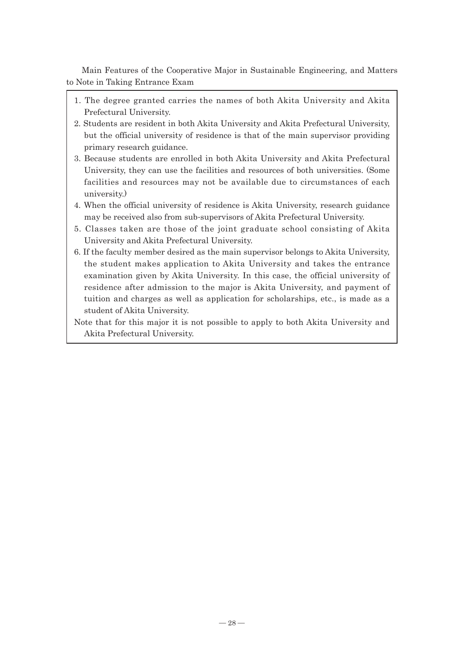Main Features of the Cooperative Major in Sustainable Engineering, and Matters to Note in Taking Entrance Exam

- 1. The degree granted carries the names of both Akita University and Akita Prefectural University.
- 2. Students are resident in both Akita University and Akita Prefectural University, but the official university of residence is that of the main supervisor providing primary research guidance.
- 3. Because students are enrolled in both Akita University and Akita Prefectural University, they can use the facilities and resources of both universities. (Some facilities and resources may not be available due to circumstances of each university.)
- 4. When the official university of residence is Akita University, research guidance may be received also from sub-supervisors of Akita Prefectural University.
- 5. Classes taken are those of the joint graduate school consisting of Akita University and Akita Prefectural University.
- 6. If the faculty member desired as the main supervisor belongs to Akita University, the student makes application to Akita University and takes the entrance examination given by Akita University. In this case, the official university of residence after admission to the major is Akita University, and payment of tuition and charges as well as application for scholarships, etc., is made as a student of Akita University.
- Note that for this major it is not possible to apply to both Akita University and Akita Prefectural University.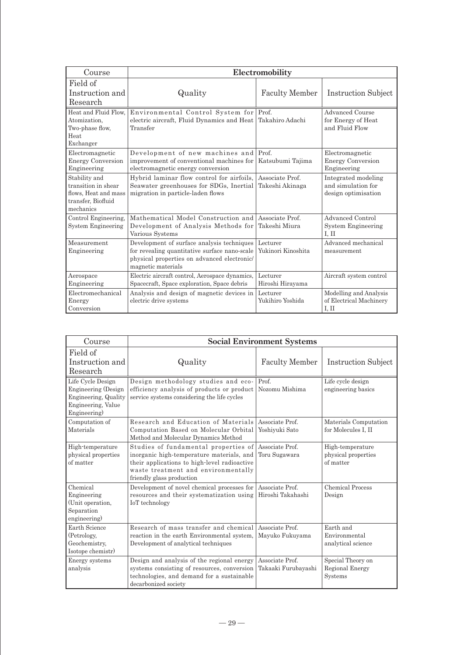| Course                                                                                          | Electromobility                                                                                                                                                  |                                    |                                                                  |
|-------------------------------------------------------------------------------------------------|------------------------------------------------------------------------------------------------------------------------------------------------------------------|------------------------------------|------------------------------------------------------------------|
| Field of<br>Instruction and<br>Research                                                         | Quality                                                                                                                                                          | <b>Faculty Member</b>              | Instruction Subject                                              |
| Heat and Fluid Flow.<br>Atomization.<br>Two-phase flow,<br>Heat<br>Exchanger                    | Environmental Control System for Prof.<br>electric aircraft, Fluid Dynamics and Heat<br>Transfer                                                                 | Takahiro Adachi                    | Advanced Course<br>for Energy of Heat<br>and Fluid Flow          |
| Electromagnetic<br><b>Energy Conversion</b><br>Engineering                                      | Development of new machines and Prof.<br>improvement of conventional machines for<br>electromagnetic energy conversion                                           | Katsubumi Tajima                   | Electromagnetic<br><b>Energy Conversion</b><br>Engineering       |
| Stability and<br>transition in shear<br>flows. Heat and mass<br>transfer, Biofluid<br>mechanics | Hybrid laminar flow control for airfoils,<br>Seawater greenhouses for SDGs, Inertial<br>migration in particle-laden flows                                        | Associate Prof.<br>Takeshi Akinaga | Integrated modeling<br>and simulation for<br>design optimisation |
| Control Engineering.<br>System Engineering                                                      | Mathematical Model Construction and Associate Prof.<br>Development of Analysis Methods for<br>Various Systems                                                    | Takeshi Miura                      | Advanced Control<br><b>System Engineering</b><br>I. II           |
| Measurement<br>Engineering                                                                      | Development of surface analysis techniques<br>for revealing quantitative surface nano-scale<br>physical properties on advanced electronic/<br>magnetic materials | Lecturer<br>Yukinori Kinoshita     | Advanced mechanical<br>measurement                               |
| Aerospace<br>Engineering                                                                        | Electric aircraft control, Aerospace dynamics,<br>Spacecraft, Space exploration, Space debris                                                                    | Lecturer<br>Hiroshi Hirayama       | Aircraft system control                                          |
| Electromechanical<br>Energy<br>Conversion                                                       | Analysis and design of magnetic devices in<br>electric drive systems                                                                                             | Lecturer<br>Yukihiro Yoshida       | Modelling and Analysis<br>of Electrical Machinery<br>I. II       |

| Course                                                                                                 | <b>Social Environment Systems</b>                                                                                                                                                                     |                                        |                                                      |
|--------------------------------------------------------------------------------------------------------|-------------------------------------------------------------------------------------------------------------------------------------------------------------------------------------------------------|----------------------------------------|------------------------------------------------------|
| Field of<br>Instruction and<br>Research                                                                | Quality                                                                                                                                                                                               | <b>Faculty Member</b>                  | Instruction Subject                                  |
| Life Cycle Design<br>Engineering (Design<br>Engineering, Quality<br>Engineering, Value<br>Engineering) | Design methodology studies and eco-<br>efficiency analysis of products or product<br>service systems considering the life cycles                                                                      | Prof.<br>Nozomu Mishima                | Life cycle design<br>engineering basics              |
| Computation of<br>Materials                                                                            | Research and Education of Materials<br>Computation Based on Molecular Orbital<br>Method and Molecular Dynamics Method                                                                                 | Associate Prof.<br>Yoshiyuki Sato      | Materials Computation<br>for Molecules I, II         |
| High-temperature<br>physical properties<br>of matter                                                   | Studies of fundamental properties of<br>inorganic high-temperature materials, and<br>their applications to high-level radioactive<br>waste treatment and environmentally<br>friendly glass production | Associate Prof.<br>Toru Sugawara       | High-temperature<br>physical properties<br>of matter |
| Chemical<br>Engineering<br>(Unit operation,<br>Separation<br>engineering)                              | Development of novel chemical processes for<br>resources and their systematization using<br>IoT technology                                                                                            | Associate Prof.<br>Hiroshi Takahashi   | <b>Chemical Process</b><br>Design                    |
| Earth Science<br>(Petrology,<br>Geochemistry,<br>Isotope chemistr)                                     | Research of mass transfer and chemical<br>reaction in the earth Environmental system,<br>Development of analytical techniques                                                                         | Associate Prof.<br>Mayuko Fukuyama     | Earth and<br>Environmental<br>analytical science     |
| Energy systems<br>analysis                                                                             | Design and analysis of the regional energy<br>systems consisting of resources, conversion<br>technologies, and demand for a sustainable<br>decarbonized society                                       | Associate Prof.<br>Takaaki Furubayashi | Special Theory on<br>Regional Energy<br>Systems      |